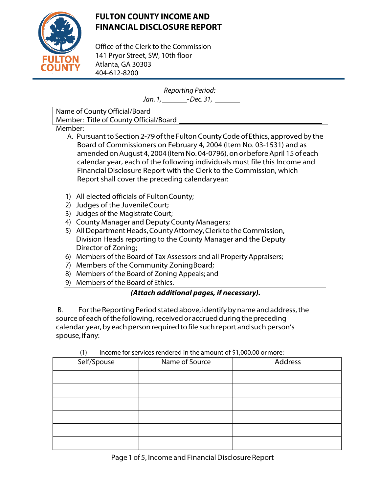

# **FULTON COUNTY INCOME AND FINANCIAL DISCLOSURE REPORT**

Office of the Clerk to the Commission 141 Pryor Street, SW, 10th floor Atlanta, GA 30303 404-612-8200

Reporting Period:

Jan. 1, \_\_\_\_\_\_\_\_-Dec. 31, \_\_\_\_\_\_

Name of County Official/Board Member: Title of County Official/Board

Member:

- A. Pursuant to Section 2-79 of the Fulton County Code of Ethics, approved by the Board of Commissioners on February 4, 2004 (Item No. 03-1531) and as amended on August 4, 2004 (Item No. 04-0796), on or before April 15 of each calendar year, each of the following individuals must file this Income and Financial Disclosure Report with the Clerk to the Commission, which Report shall cover the preceding calendaryear:
- 1) All elected officials of Fulton County;
- 2) Judges of the JuvenileCourt;
- 3) Judges of the Magistrate Court;
- 4) County Manager and Deputy County Managers;
- 5) All Department Heads, County Attorney, Clerk to the Commission, Division Heads reporting to the County Manager and the Deputy Director of Zoning;
- 6) Members of the Board of Tax Assessors and all Property Appraisers;
- 7) Members of the Community ZoningBoard;
- 8) Members of the Board of Zoning Appeals; and
- 9) Members of the Board of Ethics.

## **(Attach additional pages, if necessary).**

B. For the Reporting Period stated above, identify by name and address, the source of each of the following, received or accrued during the preceding calendar year, by each person required to file such report and such person's spouse, ifany:

| $\cdots$    |                |         |
|-------------|----------------|---------|
| Self/Spouse | Name of Source | Address |
|             |                |         |
|             |                |         |
|             |                |         |
|             |                |         |
|             |                |         |
|             |                |         |
|             |                |         |

### $(1)$  Income for services rendered in the amount of \$1,000.00 or more: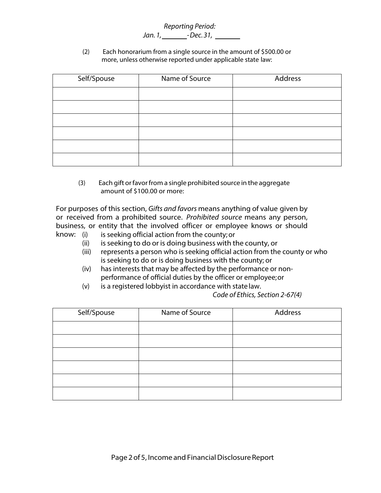#### Reporting Period: Jan. 1, \_\_\_\_\_\_\_\_-Dec. 31, \_\_\_\_\_\_\_

(2) Each honorarium from a single source in the amount of \$500.00 or more, unless otherwise reported under applicable state law:

| Self/Spouse | Name of Source | Address |
|-------------|----------------|---------|
|             |                |         |
|             |                |         |
|             |                |         |
|             |                |         |
|             |                |         |
|             |                |         |

(3) Each gift orfavorfrom a single prohibited source in the aggregate amount of \$100.00 or more:

For purposes of this section, Gifts and favors means anything of value given by or received from a prohibited source. Prohibited source means any person, business, or entity that the involved officer or employee knows or should

- know: (i) is seeking official action from the county; or
	- (ii) is seeking to do or is doing business with the county, or
	- (iii) represents a person who is seeking official action from the county or who is seeking to do or is doing business with the county; or
	- (iv) has interests that may be affected by the performance or nonperformance of official duties by the officer or employee; or
	- (v) is a registered lobbyist in accordance with state law.

#### Code of Ethics, Section 2-67(4)

| Self/Spouse | Name of Source | Address |
|-------------|----------------|---------|
|             |                |         |
|             |                |         |
|             |                |         |
|             |                |         |
|             |                |         |
|             |                |         |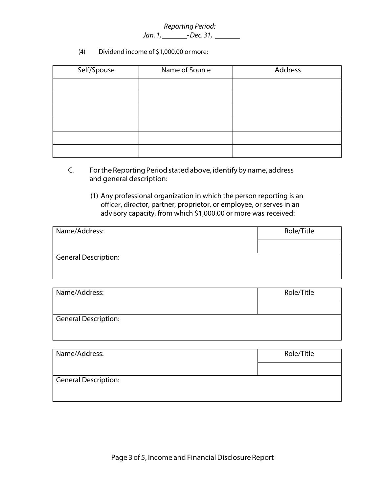### Reporting Period: Jan. 1, - Dec.31,

(4) Dividend income of \$1,000.00 ormore:

| Self/Spouse | Name of Source | Address |
|-------------|----------------|---------|
|             |                |         |
|             |                |         |
|             |                |         |
|             |                |         |
|             |                |         |
|             |                |         |

- C. For the Reporting Period stated above, identify by name, address and general description:
	- (1) Any professional organization in which the person reporting is an officer, director, partner, proprietor, or employee, or serves in an advisory capacity, from which \$1,000.00 or more was received:

| Name/Address:               | Role/Title |
|-----------------------------|------------|
|                             |            |
| <b>General Description:</b> |            |
|                             |            |

| Name/Address:               | Role/Title |
|-----------------------------|------------|
|                             |            |
| <b>General Description:</b> |            |
|                             |            |

| Name/Address:               | Role/Title |
|-----------------------------|------------|
|                             |            |
| <b>General Description:</b> |            |
|                             |            |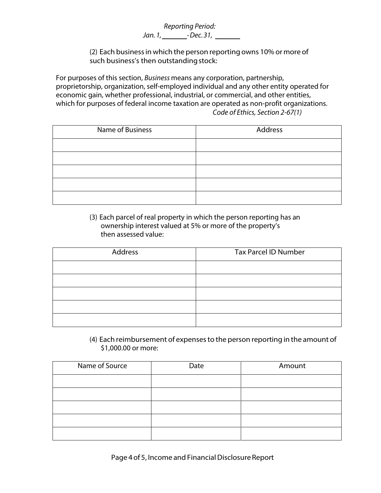Reporting Period: Jan. 1, \_\_\_\_\_\_\_\_-Dec. 31, \_\_\_\_\_\_\_

(2) Each business in which the person reporting owns 10% or more of such business's then outstanding stock:

For purposes of this section, Business means any corporation, partnership, proprietorship, organization, self-employed individual and any other entity operated for economic gain, whether professional, industrial, or commercial, and other entities, which for purposes of federal income taxation are operated as non-profit organizations. Code of Ethics, Section 2-67(1)

| Name of Business | Address |
|------------------|---------|
|                  |         |
|                  |         |
|                  |         |
|                  |         |
|                  |         |

(3) Each parcel of real property in which the person reporting has an ownership interest valued at 5% or more of the property's then assessed value:

| Address | <b>Tax Parcel ID Number</b> |
|---------|-----------------------------|
|         |                             |
|         |                             |
|         |                             |
|         |                             |
|         |                             |

(4) Each reimbursement of expensesto the person reporting in the amount of \$1,000.00 or more:

| Name of Source | Date | Amount |
|----------------|------|--------|
|                |      |        |
|                |      |        |
|                |      |        |
|                |      |        |
|                |      |        |